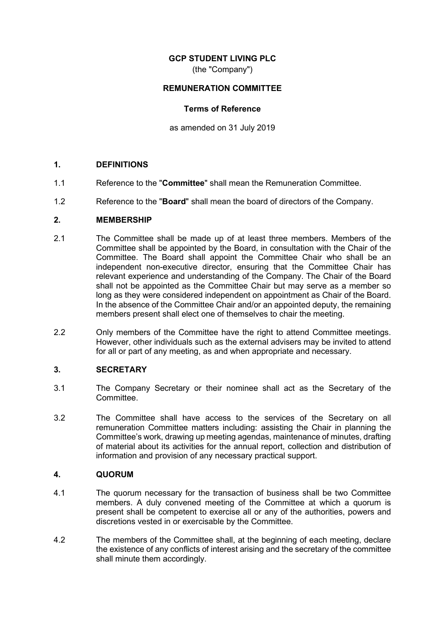### **GCP STUDENT LIVING PLC**

(the "Company")

### **REMUNERATION COMMITTEE**

#### **Terms of Reference**

as amended on 31 July 2019

#### **1. DEFINITIONS**

- 1.1 Reference to the "**Committee**" shall mean the Remuneration Committee.
- 1.2 Reference to the "**Board**" shall mean the board of directors of the Company.

#### **2. MEMBERSHIP**

- 2.1 The Committee shall be made up of at least three members. Members of the Committee shall be appointed by the Board, in consultation with the Chair of the Committee. The Board shall appoint the Committee Chair who shall be an independent non-executive director, ensuring that the Committee Chair has relevant experience and understanding of the Company. The Chair of the Board shall not be appointed as the Committee Chair but may serve as a member so long as they were considered independent on appointment as Chair of the Board. In the absence of the Committee Chair and/or an appointed deputy, the remaining members present shall elect one of themselves to chair the meeting.
- 2.2 Only members of the Committee have the right to attend Committee meetings. However, other individuals such as the external advisers may be invited to attend for all or part of any meeting, as and when appropriate and necessary.

### **3. SECRETARY**

- 3.1 The Company Secretary or their nominee shall act as the Secretary of the **Committee**
- 3.2 The Committee shall have access to the services of the Secretary on all remuneration Committee matters including: assisting the Chair in planning the Committee's work, drawing up meeting agendas, maintenance of minutes, drafting of material about its activities for the annual report, collection and distribution of information and provision of any necessary practical support.

#### **4. QUORUM**

- 4.1 The quorum necessary for the transaction of business shall be two Committee members. A duly convened meeting of the Committee at which a quorum is present shall be competent to exercise all or any of the authorities, powers and discretions vested in or exercisable by the Committee.
- 4.2 The members of the Committee shall, at the beginning of each meeting, declare the existence of any conflicts of interest arising and the secretary of the committee shall minute them accordingly.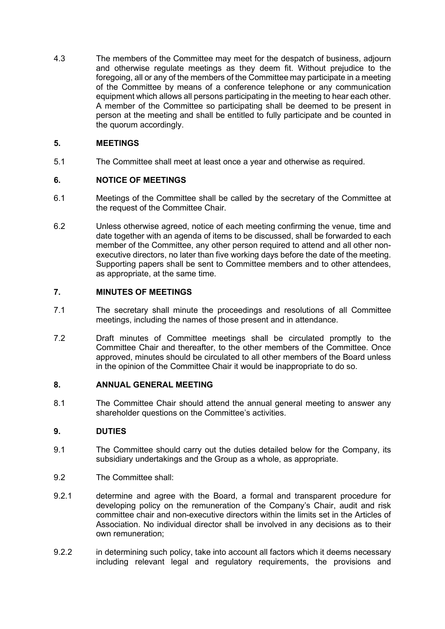4.3 The members of the Committee may meet for the despatch of business, adjourn and otherwise regulate meetings as they deem fit. Without prejudice to the foregoing, all or any of the members of the Committee may participate in a meeting of the Committee by means of a conference telephone or any communication equipment which allows all persons participating in the meeting to hear each other. A member of the Committee so participating shall be deemed to be present in person at the meeting and shall be entitled to fully participate and be counted in the quorum accordingly.

# **5. MEETINGS**

5.1 The Committee shall meet at least once a year and otherwise as required.

# **6. NOTICE OF MEETINGS**

- 6.1 Meetings of the Committee shall be called by the secretary of the Committee at the request of the Committee Chair.
- 6.2 Unless otherwise agreed, notice of each meeting confirming the venue, time and date together with an agenda of items to be discussed, shall be forwarded to each member of the Committee, any other person required to attend and all other nonexecutive directors, no later than five working days before the date of the meeting. Supporting papers shall be sent to Committee members and to other attendees, as appropriate, at the same time.

# **7. MINUTES OF MEETINGS**

- 7.1 The secretary shall minute the proceedings and resolutions of all Committee meetings, including the names of those present and in attendance.
- 7.2 Draft minutes of Committee meetings shall be circulated promptly to the Committee Chair and thereafter, to the other members of the Committee. Once approved, minutes should be circulated to all other members of the Board unless in the opinion of the Committee Chair it would be inappropriate to do so.

## **8. ANNUAL GENERAL MEETING**

8.1 The Committee Chair should attend the annual general meeting to answer any shareholder questions on the Committee's activities.

# **9. DUTIES**

- 9.1 The Committee should carry out the duties detailed below for the Company, its subsidiary undertakings and the Group as a whole, as appropriate.
- 9.2 The Committee shall:
- 9.2.1 determine and agree with the Board, a formal and transparent procedure for developing policy on the remuneration of the Company's Chair, audit and risk committee chair and non-executive directors within the limits set in the Articles of Association. No individual director shall be involved in any decisions as to their own remuneration;
- 9.2.2 in determining such policy, take into account all factors which it deems necessary including relevant legal and regulatory requirements, the provisions and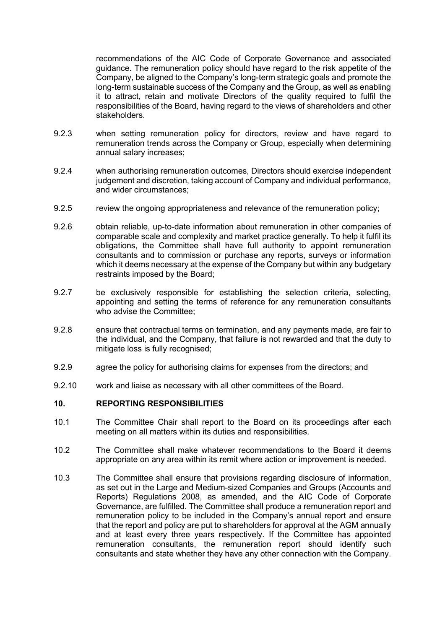recommendations of the AIC Code of Corporate Governance and associated guidance. The remuneration policy should have regard to the risk appetite of the Company, be aligned to the Company's long-term strategic goals and promote the long-term sustainable success of the Company and the Group, as well as enabling it to attract, retain and motivate Directors of the quality required to fulfil the responsibilities of the Board, having regard to the views of shareholders and other stakeholders.

- 9.2.3 when setting remuneration policy for directors, review and have regard to remuneration trends across the Company or Group, especially when determining annual salary increases;
- 9.2.4 when authorising remuneration outcomes, Directors should exercise independent judgement and discretion, taking account of Company and individual performance, and wider circumstances;
- 9.2.5 review the ongoing appropriateness and relevance of the remuneration policy;
- 9.2.6 obtain reliable, up-to-date information about remuneration in other companies of comparable scale and complexity and market practice generally. To help it fulfil its obligations, the Committee shall have full authority to appoint remuneration consultants and to commission or purchase any reports, surveys or information which it deems necessary at the expense of the Company but within any budgetary restraints imposed by the Board;
- 9.2.7 be exclusively responsible for establishing the selection criteria, selecting, appointing and setting the terms of reference for any remuneration consultants who advise the Committee;
- 9.2.8 ensure that contractual terms on termination, and any payments made, are fair to the individual, and the Company, that failure is not rewarded and that the duty to mitigate loss is fully recognised;
- 9.2.9 agree the policy for authorising claims for expenses from the directors; and
- 9.2.10 work and liaise as necessary with all other committees of the Board.

### **10. REPORTING RESPONSIBILITIES**

- 10.1 The Committee Chair shall report to the Board on its proceedings after each meeting on all matters within its duties and responsibilities.
- 10.2 The Committee shall make whatever recommendations to the Board it deems appropriate on any area within its remit where action or improvement is needed.
- 10.3 The Committee shall ensure that provisions regarding disclosure of information, as set out in the Large and Medium-sized Companies and Groups (Accounts and Reports) Regulations 2008, as amended, and the AIC Code of Corporate Governance, are fulfilled. The Committee shall produce a remuneration report and remuneration policy to be included in the Company's annual report and ensure that the report and policy are put to shareholders for approval at the AGM annually and at least every three years respectively. If the Committee has appointed remuneration consultants, the remuneration report should identify such consultants and state whether they have any other connection with the Company.